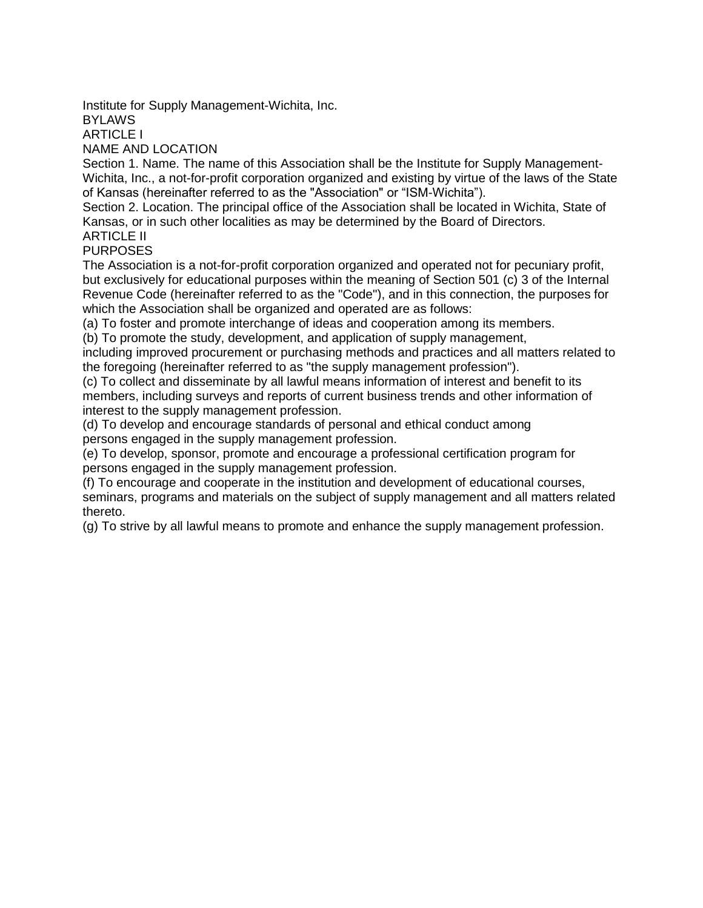Institute for Supply Management-Wichita, Inc.

**BYLAWS** 

ARTICLE I

NAME AND LOCATION

Section 1. Name. The name of this Association shall be the Institute for Supply Management-Wichita, Inc., a not-for-profit corporation organized and existing by virtue of the laws of the State of Kansas (hereinafter referred to as the "Association" or "ISM-Wichita").

Section 2. Location. The principal office of the Association shall be located in Wichita, State of Kansas, or in such other localities as may be determined by the Board of Directors.

ARTICLE II PURPOSES

The Association is a not-for-profit corporation organized and operated not for pecuniary profit, but exclusively for educational purposes within the meaning of Section 501 (c) 3 of the Internal Revenue Code (hereinafter referred to as the "Code"), and in this connection, the purposes for which the Association shall be organized and operated are as follows:

(a) To foster and promote interchange of ideas and cooperation among its members.

(b) To promote the study, development, and application of supply management,

including improved procurement or purchasing methods and practices and all matters related to the foregoing (hereinafter referred to as "the supply management profession").

(c) To collect and disseminate by all lawful means information of interest and benefit to its members, including surveys and reports of current business trends and other information of interest to the supply management profession.

(d) To develop and encourage standards of personal and ethical conduct among persons engaged in the supply management profession.

(e) To develop, sponsor, promote and encourage a professional certification program for persons engaged in the supply management profession.

(f) To encourage and cooperate in the institution and development of educational courses, seminars, programs and materials on the subject of supply management and all matters related thereto.

(g) To strive by all lawful means to promote and enhance the supply management profession.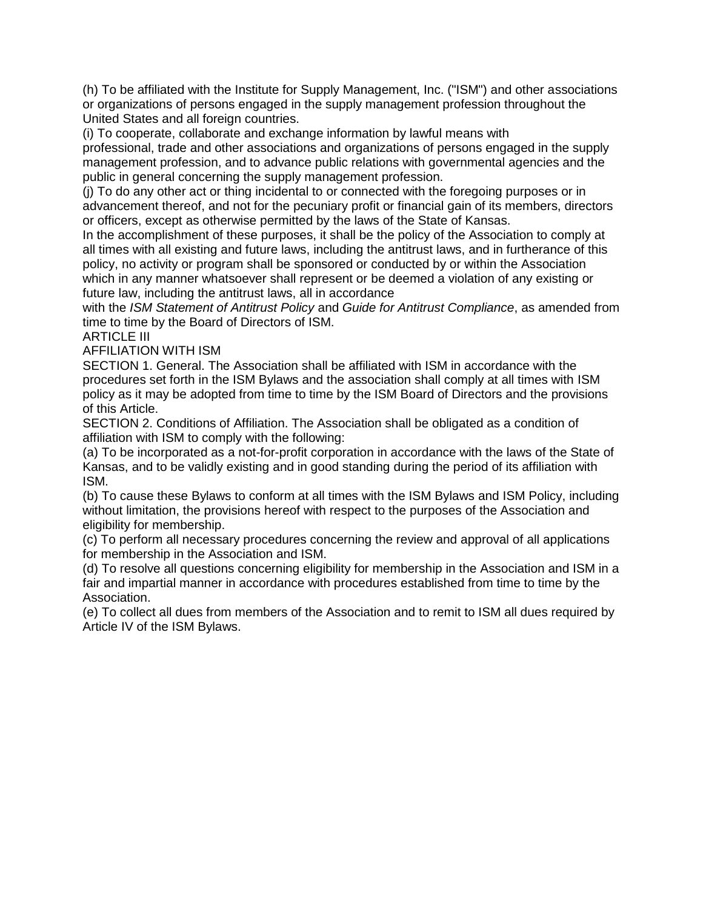(h) To be affiliated with the Institute for Supply Management, Inc. ("ISM") and other associations or organizations of persons engaged in the supply management profession throughout the United States and all foreign countries.

(i) To cooperate, collaborate and exchange information by lawful means with professional, trade and other associations and organizations of persons engaged in the supply management profession, and to advance public relations with governmental agencies and the public in general concerning the supply management profession.

(j) To do any other act or thing incidental to or connected with the foregoing purposes or in advancement thereof, and not for the pecuniary profit or financial gain of its members, directors or officers, except as otherwise permitted by the laws of the State of Kansas.

In the accomplishment of these purposes, it shall be the policy of the Association to comply at all times with all existing and future laws, including the antitrust laws, and in furtherance of this policy, no activity or program shall be sponsored or conducted by or within the Association which in any manner whatsoever shall represent or be deemed a violation of any existing or future law, including the antitrust laws, all in accordance

with the *ISM Statement of Antitrust Policy* and *Guide for Antitrust Compliance*, as amended from time to time by the Board of Directors of ISM.

ARTICLE III

AFFILIATION WITH ISM

SECTION 1. General. The Association shall be affiliated with ISM in accordance with the procedures set forth in the ISM Bylaws and the association shall comply at all times with ISM policy as it may be adopted from time to time by the ISM Board of Directors and the provisions of this Article.

SECTION 2. Conditions of Affiliation. The Association shall be obligated as a condition of affiliation with ISM to comply with the following:

(a) To be incorporated as a not-for-profit corporation in accordance with the laws of the State of Kansas, and to be validly existing and in good standing during the period of its affiliation with ISM.

(b) To cause these Bylaws to conform at all times with the ISM Bylaws and ISM Policy, including without limitation, the provisions hereof with respect to the purposes of the Association and eligibility for membership.

(c) To perform all necessary procedures concerning the review and approval of all applications for membership in the Association and ISM.

(d) To resolve all questions concerning eligibility for membership in the Association and ISM in a fair and impartial manner in accordance with procedures established from time to time by the Association.

(e) To collect all dues from members of the Association and to remit to ISM all dues required by Article IV of the ISM Bylaws.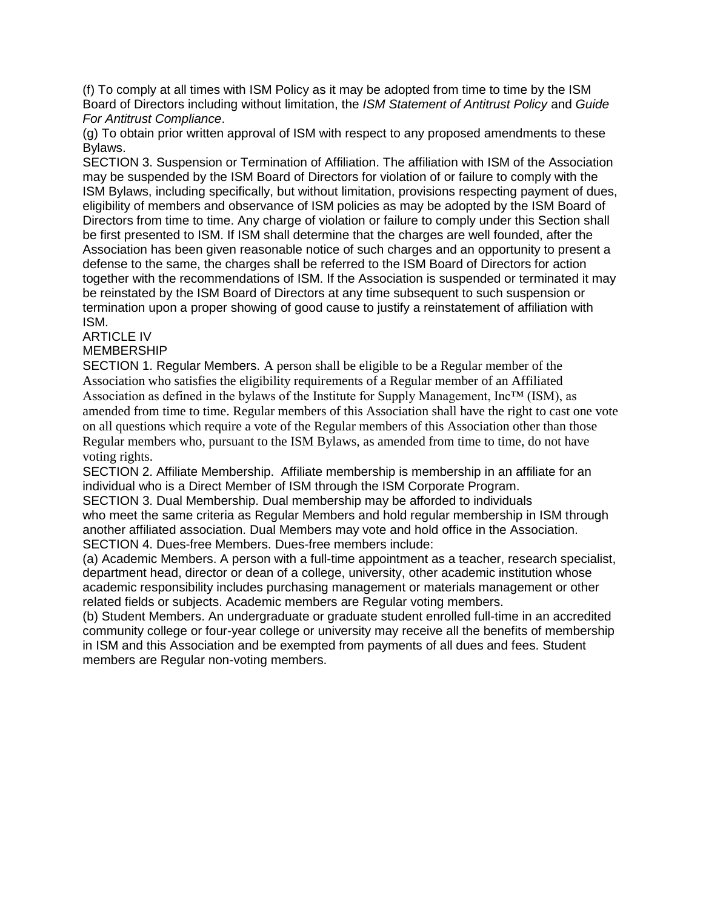(f) To comply at all times with ISM Policy as it may be adopted from time to time by the ISM Board of Directors including without limitation, the *ISM Statement of Antitrust Policy* and *Guide For Antitrust Compliance*.

(g) To obtain prior written approval of ISM with respect to any proposed amendments to these Bylaws.

SECTION 3. Suspension or Termination of Affiliation. The affiliation with ISM of the Association may be suspended by the ISM Board of Directors for violation of or failure to comply with the ISM Bylaws, including specifically, but without limitation, provisions respecting payment of dues, eligibility of members and observance of ISM policies as may be adopted by the ISM Board of Directors from time to time. Any charge of violation or failure to comply under this Section shall be first presented to ISM. If ISM shall determine that the charges are well founded, after the Association has been given reasonable notice of such charges and an opportunity to present a defense to the same, the charges shall be referred to the ISM Board of Directors for action together with the recommendations of ISM. If the Association is suspended or terminated it may be reinstated by the ISM Board of Directors at any time subsequent to such suspension or termination upon a proper showing of good cause to justify a reinstatement of affiliation with ISM.

# ARTICLE IV

## MEMBERSHIP

SECTION 1. Regular Members. A person shall be eligible to be a Regular member of the Association who satisfies the eligibility requirements of a Regular member of an Affiliated Association as defined in the bylaws of the Institute for Supply Management, Inc™ (ISM), as amended from time to time. Regular members of this Association shall have the right to cast one vote on all questions which require a vote of the Regular members of this Association other than those Regular members who, pursuant to the ISM Bylaws, as amended from time to time, do not have voting rights.

SECTION 2. Affiliate Membership. Affiliate membership is membership in an affiliate for an individual who is a Direct Member of ISM through the ISM Corporate Program.

SECTION 3. Dual Membership. Dual membership may be afforded to individuals who meet the same criteria as Regular Members and hold regular membership in ISM through another affiliated association. Dual Members may vote and hold office in the Association. SECTION 4. Dues-free Members. Dues-free members include:

(a) Academic Members. A person with a full-time appointment as a teacher, research specialist, department head, director or dean of a college, university, other academic institution whose academic responsibility includes purchasing management or materials management or other related fields or subjects. Academic members are Regular voting members.

(b) Student Members. An undergraduate or graduate student enrolled full-time in an accredited community college or four-year college or university may receive all the benefits of membership in ISM and this Association and be exempted from payments of all dues and fees. Student members are Regular non-voting members.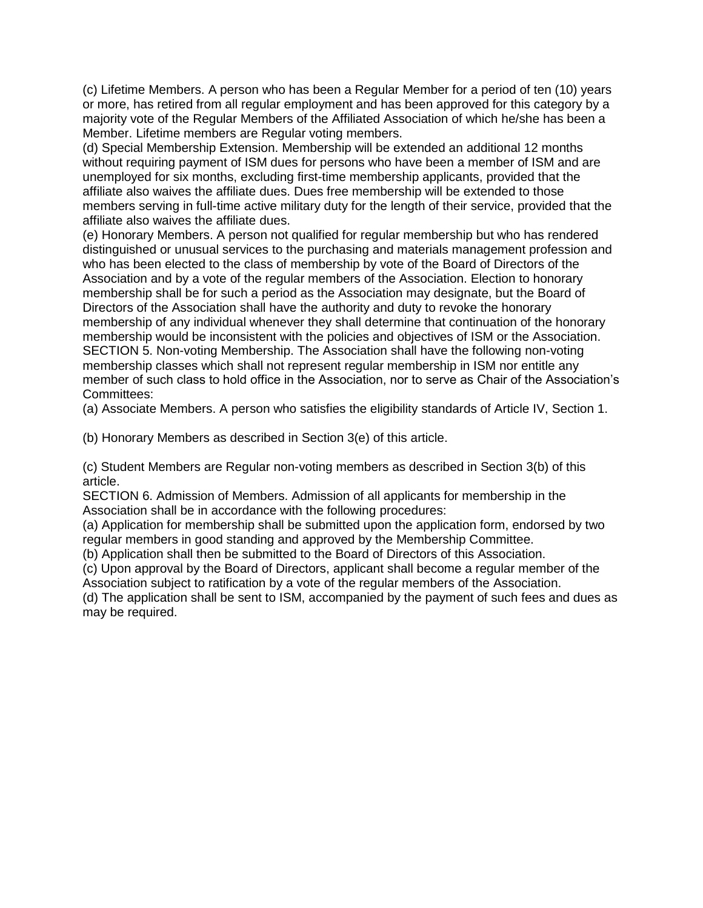(c) Lifetime Members. A person who has been a Regular Member for a period of ten (10) years or more, has retired from all regular employment and has been approved for this category by a majority vote of the Regular Members of the Affiliated Association of which he/she has been a Member. Lifetime members are Regular voting members.

(d) Special Membership Extension. Membership will be extended an additional 12 months without requiring payment of ISM dues for persons who have been a member of ISM and are unemployed for six months, excluding first-time membership applicants, provided that the affiliate also waives the affiliate dues. Dues free membership will be extended to those members serving in full-time active military duty for the length of their service, provided that the affiliate also waives the affiliate dues.

(e) Honorary Members. A person not qualified for regular membership but who has rendered distinguished or unusual services to the purchasing and materials management profession and who has been elected to the class of membership by vote of the Board of Directors of the Association and by a vote of the regular members of the Association. Election to honorary membership shall be for such a period as the Association may designate, but the Board of Directors of the Association shall have the authority and duty to revoke the honorary membership of any individual whenever they shall determine that continuation of the honorary membership would be inconsistent with the policies and objectives of ISM or the Association. SECTION 5. Non-voting Membership. The Association shall have the following non-voting membership classes which shall not represent regular membership in ISM nor entitle any member of such class to hold office in the Association, nor to serve as Chair of the Association's Committees:

(a) Associate Members. A person who satisfies the eligibility standards of Article IV, Section 1.

(b) Honorary Members as described in Section 3(e) of this article.

(c) Student Members are Regular non-voting members as described in Section 3(b) of this article.

SECTION 6. Admission of Members. Admission of all applicants for membership in the Association shall be in accordance with the following procedures:

(a) Application for membership shall be submitted upon the application form, endorsed by two regular members in good standing and approved by the Membership Committee.

(b) Application shall then be submitted to the Board of Directors of this Association.

(c) Upon approval by the Board of Directors, applicant shall become a regular member of the Association subject to ratification by a vote of the regular members of the Association.

(d) The application shall be sent to ISM, accompanied by the payment of such fees and dues as may be required.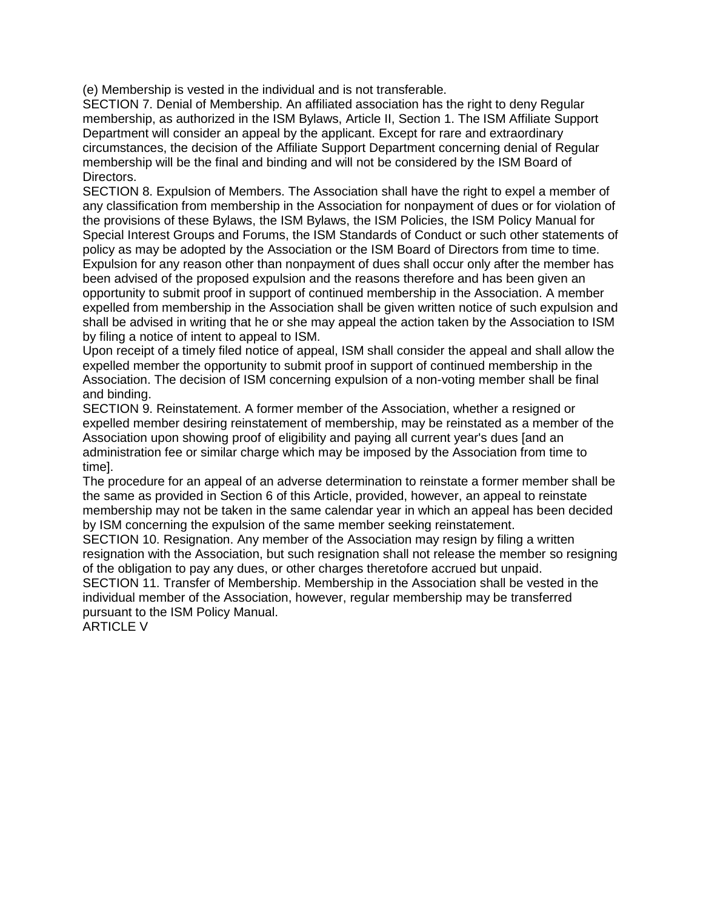(e) Membership is vested in the individual and is not transferable.

SECTION 7. Denial of Membership. An affiliated association has the right to deny Regular membership, as authorized in the ISM Bylaws, Article II, Section 1. The ISM Affiliate Support Department will consider an appeal by the applicant. Except for rare and extraordinary circumstances, the decision of the Affiliate Support Department concerning denial of Regular membership will be the final and binding and will not be considered by the ISM Board of Directors.

SECTION 8. Expulsion of Members. The Association shall have the right to expel a member of any classification from membership in the Association for nonpayment of dues or for violation of the provisions of these Bylaws, the ISM Bylaws, the ISM Policies, the ISM Policy Manual for Special Interest Groups and Forums, the ISM Standards of Conduct or such other statements of policy as may be adopted by the Association or the ISM Board of Directors from time to time. Expulsion for any reason other than nonpayment of dues shall occur only after the member has been advised of the proposed expulsion and the reasons therefore and has been given an opportunity to submit proof in support of continued membership in the Association. A member expelled from membership in the Association shall be given written notice of such expulsion and shall be advised in writing that he or she may appeal the action taken by the Association to ISM by filing a notice of intent to appeal to ISM.

Upon receipt of a timely filed notice of appeal, ISM shall consider the appeal and shall allow the expelled member the opportunity to submit proof in support of continued membership in the Association. The decision of ISM concerning expulsion of a non-voting member shall be final and binding.

SECTION 9. Reinstatement. A former member of the Association, whether a resigned or expelled member desiring reinstatement of membership, may be reinstated as a member of the Association upon showing proof of eligibility and paying all current year's dues [and an administration fee or similar charge which may be imposed by the Association from time to time].

The procedure for an appeal of an adverse determination to reinstate a former member shall be the same as provided in Section 6 of this Article, provided, however, an appeal to reinstate membership may not be taken in the same calendar year in which an appeal has been decided by ISM concerning the expulsion of the same member seeking reinstatement.

SECTION 10. Resignation. Any member of the Association may resign by filing a written resignation with the Association, but such resignation shall not release the member so resigning of the obligation to pay any dues, or other charges theretofore accrued but unpaid.

SECTION 11. Transfer of Membership. Membership in the Association shall be vested in the individual member of the Association, however, regular membership may be transferred pursuant to the ISM Policy Manual.

ARTICLE V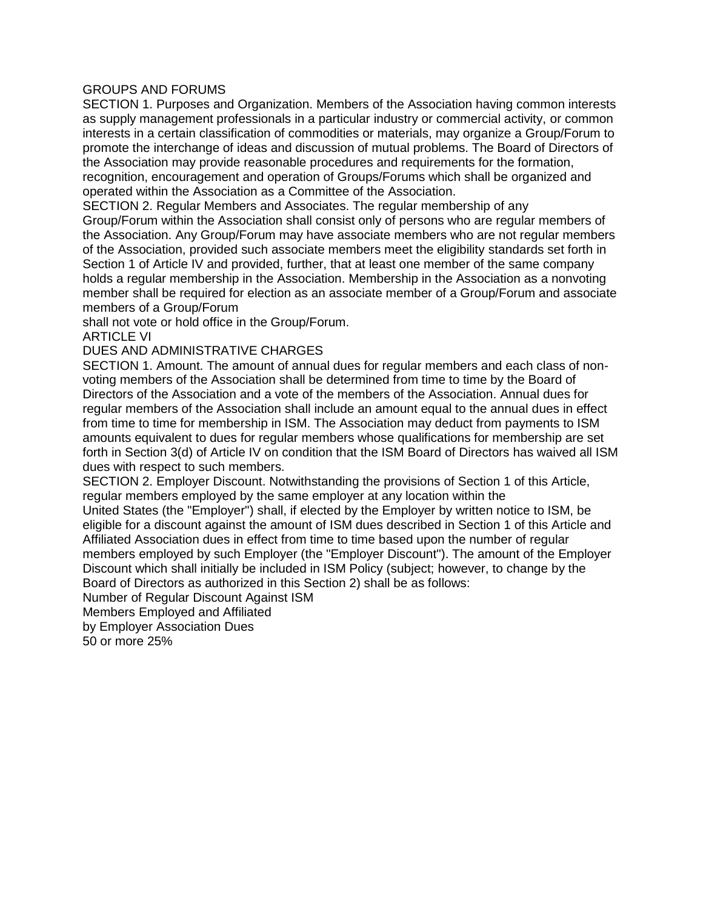### GROUPS AND FORUMS

SECTION 1. Purposes and Organization. Members of the Association having common interests as supply management professionals in a particular industry or commercial activity, or common interests in a certain classification of commodities or materials, may organize a Group/Forum to promote the interchange of ideas and discussion of mutual problems. The Board of Directors of the Association may provide reasonable procedures and requirements for the formation, recognition, encouragement and operation of Groups/Forums which shall be organized and operated within the Association as a Committee of the Association.

SECTION 2. Regular Members and Associates. The regular membership of any Group/Forum within the Association shall consist only of persons who are regular members of the Association. Any Group/Forum may have associate members who are not regular members of the Association, provided such associate members meet the eligibility standards set forth in Section 1 of Article IV and provided, further, that at least one member of the same company holds a regular membership in the Association. Membership in the Association as a nonvoting member shall be required for election as an associate member of a Group/Forum and associate members of a Group/Forum

shall not vote or hold office in the Group/Forum.

ARTICLE VI

### DUES AND ADMINISTRATIVE CHARGES

SECTION 1. Amount. The amount of annual dues for regular members and each class of nonvoting members of the Association shall be determined from time to time by the Board of Directors of the Association and a vote of the members of the Association. Annual dues for regular members of the Association shall include an amount equal to the annual dues in effect from time to time for membership in ISM. The Association may deduct from payments to ISM amounts equivalent to dues for regular members whose qualifications for membership are set forth in Section 3(d) of Article IV on condition that the ISM Board of Directors has waived all ISM dues with respect to such members.

SECTION 2. Employer Discount. Notwithstanding the provisions of Section 1 of this Article, regular members employed by the same employer at any location within the

United States (the "Employer") shall, if elected by the Employer by written notice to ISM, be eligible for a discount against the amount of ISM dues described in Section 1 of this Article and Affiliated Association dues in effect from time to time based upon the number of regular members employed by such Employer (the "Employer Discount"). The amount of the Employer Discount which shall initially be included in ISM Policy (subject; however, to change by the Board of Directors as authorized in this Section 2) shall be as follows:

Number of Regular Discount Against ISM

Members Employed and Affiliated

by Employer Association Dues

50 or more 25%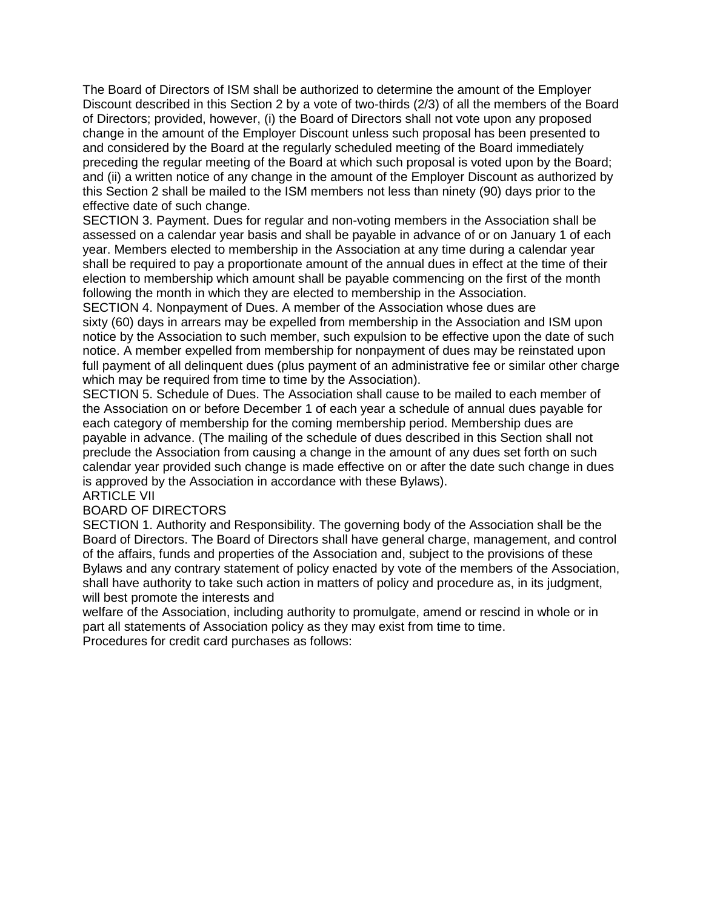The Board of Directors of ISM shall be authorized to determine the amount of the Employer Discount described in this Section 2 by a vote of two-thirds (2/3) of all the members of the Board of Directors; provided, however, (i) the Board of Directors shall not vote upon any proposed change in the amount of the Employer Discount unless such proposal has been presented to and considered by the Board at the regularly scheduled meeting of the Board immediately preceding the regular meeting of the Board at which such proposal is voted upon by the Board; and (ii) a written notice of any change in the amount of the Employer Discount as authorized by this Section 2 shall be mailed to the ISM members not less than ninety (90) days prior to the effective date of such change.

SECTION 3. Payment. Dues for regular and non-voting members in the Association shall be assessed on a calendar year basis and shall be payable in advance of or on January 1 of each year. Members elected to membership in the Association at any time during a calendar year shall be required to pay a proportionate amount of the annual dues in effect at the time of their election to membership which amount shall be payable commencing on the first of the month following the month in which they are elected to membership in the Association.

SECTION 4. Nonpayment of Dues. A member of the Association whose dues are sixty (60) days in arrears may be expelled from membership in the Association and ISM upon notice by the Association to such member, such expulsion to be effective upon the date of such notice. A member expelled from membership for nonpayment of dues may be reinstated upon full payment of all delinquent dues (plus payment of an administrative fee or similar other charge which may be required from time to time by the Association).

SECTION 5. Schedule of Dues. The Association shall cause to be mailed to each member of the Association on or before December 1 of each year a schedule of annual dues payable for each category of membership for the coming membership period. Membership dues are payable in advance. (The mailing of the schedule of dues described in this Section shall not preclude the Association from causing a change in the amount of any dues set forth on such calendar year provided such change is made effective on or after the date such change in dues is approved by the Association in accordance with these Bylaws).

#### ARTICLE VII BOARD OF DIRECTORS

SECTION 1. Authority and Responsibility. The governing body of the Association shall be the Board of Directors. The Board of Directors shall have general charge, management, and control of the affairs, funds and properties of the Association and, subject to the provisions of these Bylaws and any contrary statement of policy enacted by vote of the members of the Association, shall have authority to take such action in matters of policy and procedure as, in its judgment, will best promote the interests and

welfare of the Association, including authority to promulgate, amend or rescind in whole or in part all statements of Association policy as they may exist from time to time. Procedures for credit card purchases as follows: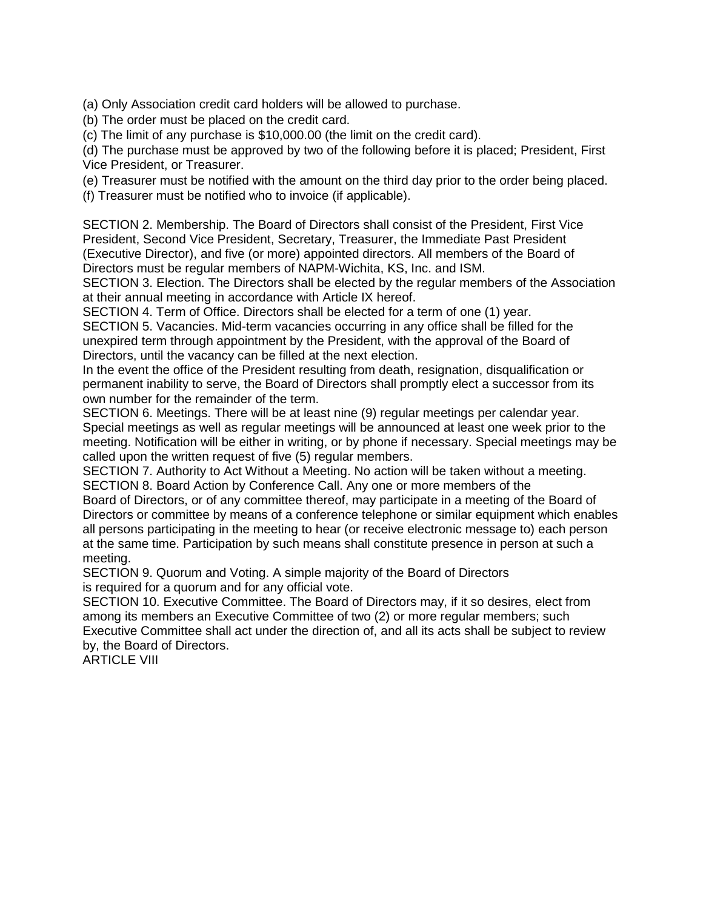(a) Only Association credit card holders will be allowed to purchase.

(b) The order must be placed on the credit card.

(c) The limit of any purchase is \$10,000.00 (the limit on the credit card).

(d) The purchase must be approved by two of the following before it is placed; President, First Vice President, or Treasurer.

(e) Treasurer must be notified with the amount on the third day prior to the order being placed.

(f) Treasurer must be notified who to invoice (if applicable).

SECTION 2. Membership. The Board of Directors shall consist of the President, First Vice President, Second Vice President, Secretary, Treasurer, the Immediate Past President (Executive Director), and five (or more) appointed directors. All members of the Board of Directors must be regular members of NAPM-Wichita, KS, Inc. and ISM.

SECTION 3. Election. The Directors shall be elected by the regular members of the Association at their annual meeting in accordance with Article IX hereof.

SECTION 4. Term of Office. Directors shall be elected for a term of one (1) year.

SECTION 5. Vacancies. Mid-term vacancies occurring in any office shall be filled for the unexpired term through appointment by the President, with the approval of the Board of Directors, until the vacancy can be filled at the next election.

In the event the office of the President resulting from death, resignation, disqualification or permanent inability to serve, the Board of Directors shall promptly elect a successor from its own number for the remainder of the term.

SECTION 6. Meetings. There will be at least nine (9) regular meetings per calendar year. Special meetings as well as regular meetings will be announced at least one week prior to the meeting. Notification will be either in writing, or by phone if necessary. Special meetings may be called upon the written request of five (5) regular members.

SECTION 7. Authority to Act Without a Meeting. No action will be taken without a meeting. SECTION 8. Board Action by Conference Call. Any one or more members of the

Board of Directors, or of any committee thereof, may participate in a meeting of the Board of Directors or committee by means of a conference telephone or similar equipment which enables all persons participating in the meeting to hear (or receive electronic message to) each person at the same time. Participation by such means shall constitute presence in person at such a meeting.

SECTION 9. Quorum and Voting. A simple majority of the Board of Directors is required for a quorum and for any official vote.

SECTION 10. Executive Committee. The Board of Directors may, if it so desires, elect from among its members an Executive Committee of two (2) or more regular members; such Executive Committee shall act under the direction of, and all its acts shall be subject to review by, the Board of Directors.

ARTICLE VIII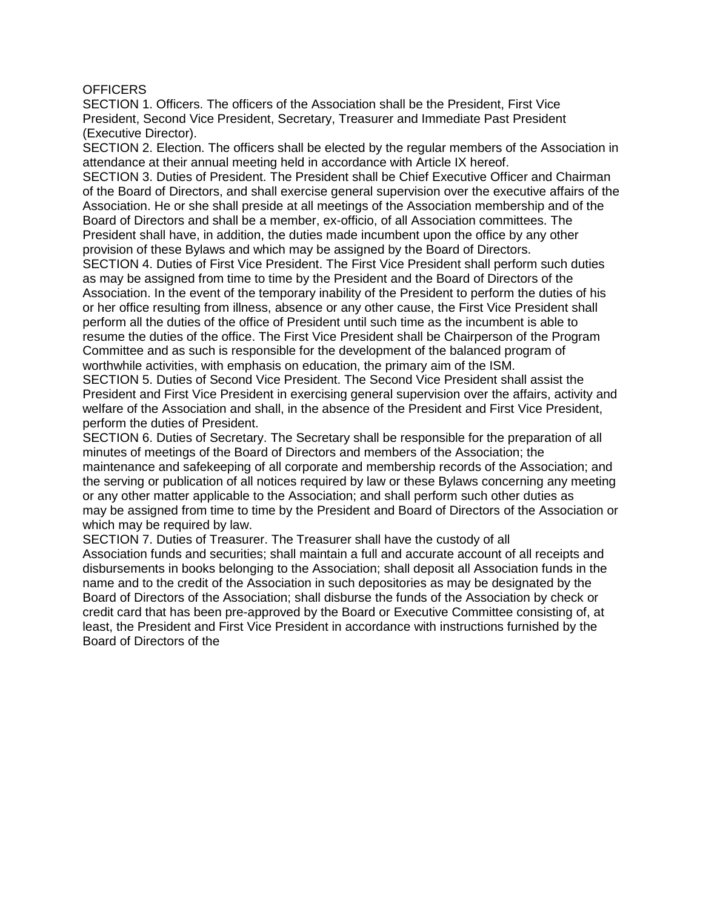### **OFFICERS**

SECTION 1. Officers. The officers of the Association shall be the President, First Vice President, Second Vice President, Secretary, Treasurer and Immediate Past President (Executive Director).

SECTION 2. Election. The officers shall be elected by the regular members of the Association in attendance at their annual meeting held in accordance with Article IX hereof.

SECTION 3. Duties of President. The President shall be Chief Executive Officer and Chairman of the Board of Directors, and shall exercise general supervision over the executive affairs of the Association. He or she shall preside at all meetings of the Association membership and of the Board of Directors and shall be a member, ex-officio, of all Association committees. The President shall have, in addition, the duties made incumbent upon the office by any other provision of these Bylaws and which may be assigned by the Board of Directors.

SECTION 4. Duties of First Vice President. The First Vice President shall perform such duties as may be assigned from time to time by the President and the Board of Directors of the Association. In the event of the temporary inability of the President to perform the duties of his or her office resulting from illness, absence or any other cause, the First Vice President shall perform all the duties of the office of President until such time as the incumbent is able to resume the duties of the office. The First Vice President shall be Chairperson of the Program Committee and as such is responsible for the development of the balanced program of worthwhile activities, with emphasis on education, the primary aim of the ISM.

SECTION 5. Duties of Second Vice President. The Second Vice President shall assist the President and First Vice President in exercising general supervision over the affairs, activity and welfare of the Association and shall, in the absence of the President and First Vice President, perform the duties of President.

SECTION 6. Duties of Secretary. The Secretary shall be responsible for the preparation of all minutes of meetings of the Board of Directors and members of the Association; the maintenance and safekeeping of all corporate and membership records of the Association; and the serving or publication of all notices required by law or these Bylaws concerning any meeting or any other matter applicable to the Association; and shall perform such other duties as may be assigned from time to time by the President and Board of Directors of the Association or which may be required by law.

SECTION 7. Duties of Treasurer. The Treasurer shall have the custody of all Association funds and securities; shall maintain a full and accurate account of all receipts and disbursements in books belonging to the Association; shall deposit all Association funds in the name and to the credit of the Association in such depositories as may be designated by the Board of Directors of the Association; shall disburse the funds of the Association by check or credit card that has been pre-approved by the Board or Executive Committee consisting of, at least, the President and First Vice President in accordance with instructions furnished by the Board of Directors of the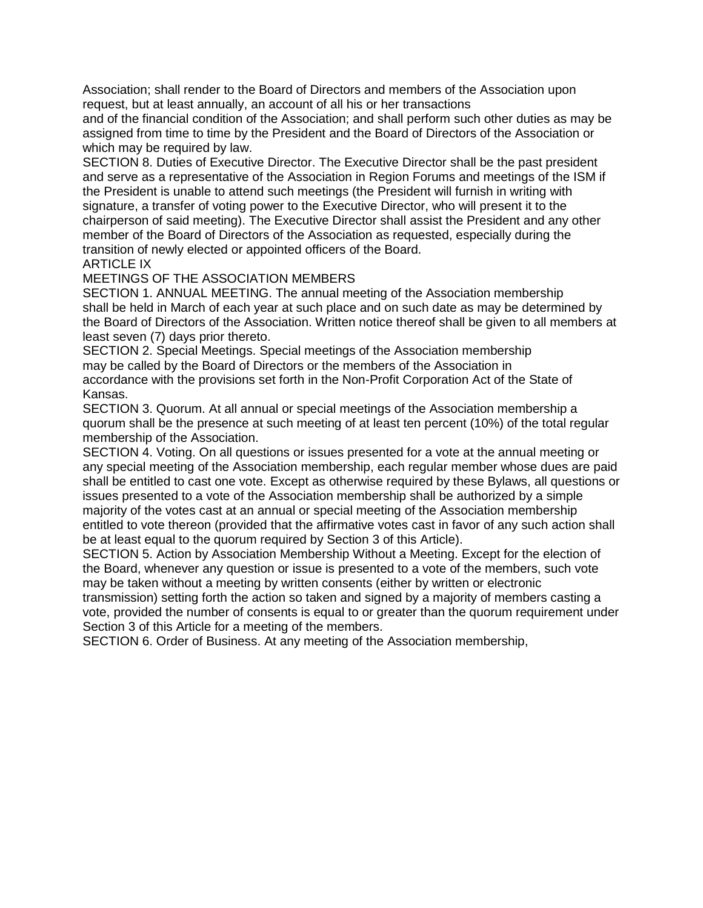Association; shall render to the Board of Directors and members of the Association upon request, but at least annually, an account of all his or her transactions

and of the financial condition of the Association; and shall perform such other duties as may be assigned from time to time by the President and the Board of Directors of the Association or which may be required by law.

SECTION 8. Duties of Executive Director. The Executive Director shall be the past president and serve as a representative of the Association in Region Forums and meetings of the ISM if the President is unable to attend such meetings (the President will furnish in writing with signature, a transfer of voting power to the Executive Director, who will present it to the chairperson of said meeting). The Executive Director shall assist the President and any other member of the Board of Directors of the Association as requested, especially during the transition of newly elected or appointed officers of the Board.

## ARTICLE IX

### MEETINGS OF THE ASSOCIATION MEMBERS

SECTION 1. ANNUAL MEETING. The annual meeting of the Association membership shall be held in March of each year at such place and on such date as may be determined by the Board of Directors of the Association. Written notice thereof shall be given to all members at least seven (7) days prior thereto.

SECTION 2. Special Meetings. Special meetings of the Association membership may be called by the Board of Directors or the members of the Association in accordance with the provisions set forth in the Non-Profit Corporation Act of the State of Kansas.

SECTION 3. Quorum. At all annual or special meetings of the Association membership a quorum shall be the presence at such meeting of at least ten percent (10%) of the total regular membership of the Association.

SECTION 4. Voting. On all questions or issues presented for a vote at the annual meeting or any special meeting of the Association membership, each regular member whose dues are paid shall be entitled to cast one vote. Except as otherwise required by these Bylaws, all questions or issues presented to a vote of the Association membership shall be authorized by a simple majority of the votes cast at an annual or special meeting of the Association membership entitled to vote thereon (provided that the affirmative votes cast in favor of any such action shall be at least equal to the quorum required by Section 3 of this Article).

SECTION 5. Action by Association Membership Without a Meeting. Except for the election of the Board, whenever any question or issue is presented to a vote of the members, such vote may be taken without a meeting by written consents (either by written or electronic

transmission) setting forth the action so taken and signed by a majority of members casting a vote, provided the number of consents is equal to or greater than the quorum requirement under Section 3 of this Article for a meeting of the members.

SECTION 6. Order of Business. At any meeting of the Association membership,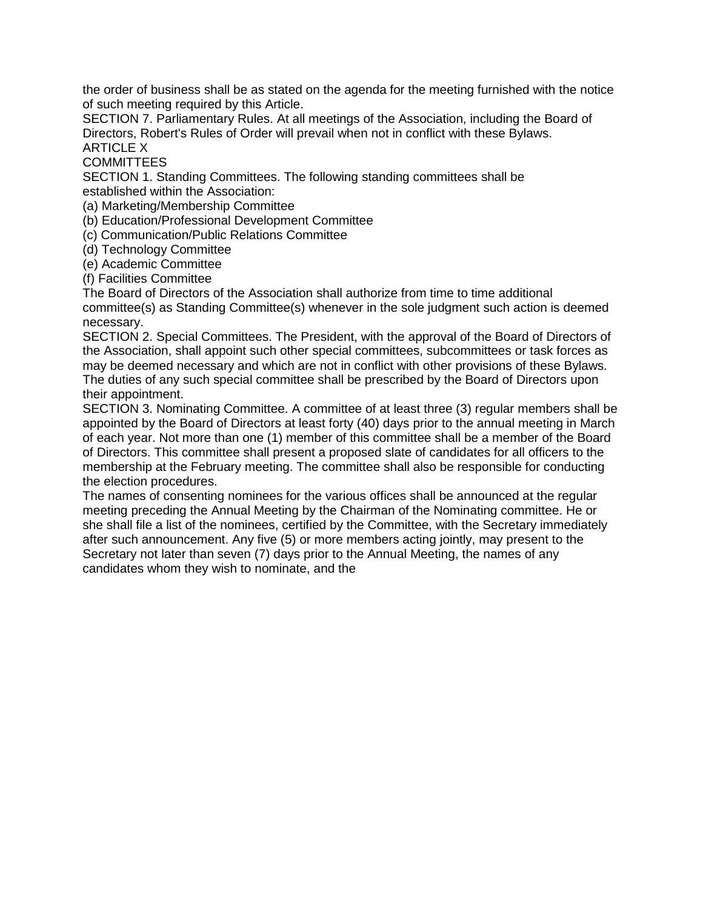the order of business shall be as stated on the agenda for the meeting furnished with the notice of such meeting required by this Article.

SECTION 7. Parliamentary Rules. At all meetings of the Association, including the Board of Directors, Robert's Rules of Order will prevail when not in conflict with these Bylaws. ARTICLE X

**COMMITTEES** 

SECTION 1. Standing Committees. The following standing committees shall be established within the Association:

(a) Marketing/Membership Committee

(b) Education/Professional Development Committee

(c) Communication/Public Relations Committee

(d) Technology Committee

(e) Academic Committee

(f) Facilities Committee

The Board of Directors of the Association shall authorize from time to time additional committee(s) as Standing Committee(s) whenever in the sole judgment such action is deemed necessary.

SECTION 2. Special Committees. The President, with the approval of the Board of Directors of the Association, shall appoint such other special committees, subcommittees or task forces as may be deemed necessary and which are not in conflict with other provisions of these Bylaws. The duties of any such special committee shall be prescribed by the Board of Directors upon their appointment.

SECTION 3. Nominating Committee. A committee of at least three (3) regular members shall be appointed by the Board of Directors at least forty (40) days prior to the annual meeting in March of each year. Not more than one (1) member of this committee shall be a member of the Board of Directors. This committee shall present a proposed slate of candidates for all officers to the membership at the February meeting. The committee shall also be responsible for conducting the election procedures.

The names of consenting nominees for the various offices shall be announced at the regular meeting preceding the Annual Meeting by the Chairman of the Nominating committee. He or she shall file a list of the nominees, certified by the Committee, with the Secretary immediately after such announcement. Any five (5) or more members acting jointly, may present to the Secretary not later than seven (7) days prior to the Annual Meeting, the names of any candidates whom they wish to nominate, and the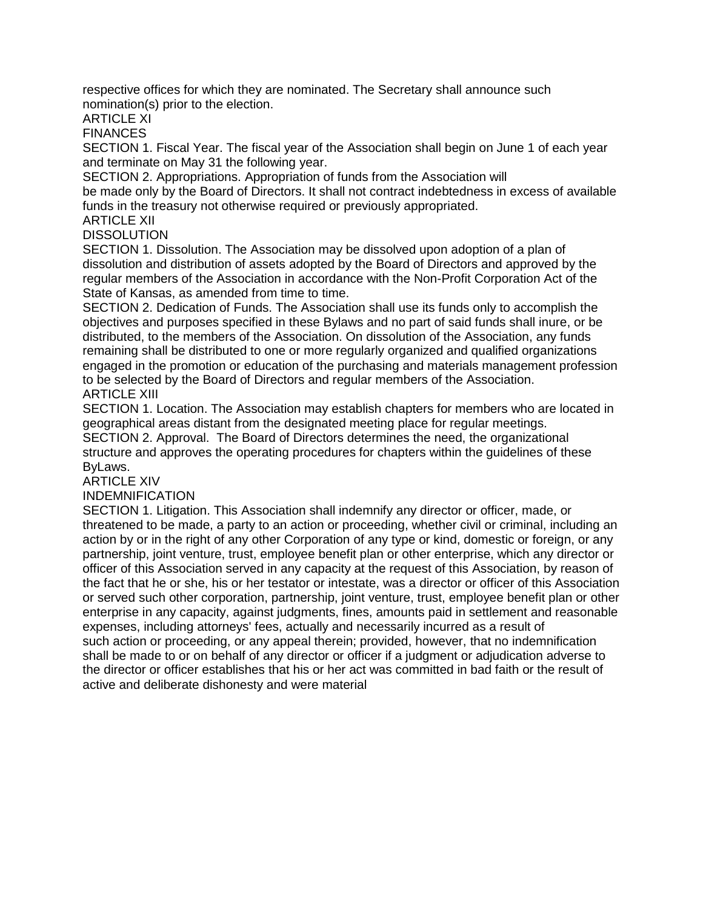respective offices for which they are nominated. The Secretary shall announce such nomination(s) prior to the election.

ARTICLE XI

**FINANCES** 

SECTION 1. Fiscal Year. The fiscal year of the Association shall begin on June 1 of each year and terminate on May 31 the following year.

SECTION 2. Appropriations. Appropriation of funds from the Association will

be made only by the Board of Directors. It shall not contract indebtedness in excess of available funds in the treasury not otherwise required or previously appropriated.

ARTICLE XII

DISSOLUTION

SECTION 1. Dissolution. The Association may be dissolved upon adoption of a plan of dissolution and distribution of assets adopted by the Board of Directors and approved by the regular members of the Association in accordance with the Non-Profit Corporation Act of the State of Kansas, as amended from time to time.

SECTION 2. Dedication of Funds. The Association shall use its funds only to accomplish the objectives and purposes specified in these Bylaws and no part of said funds shall inure, or be distributed, to the members of the Association. On dissolution of the Association, any funds remaining shall be distributed to one or more regularly organized and qualified organizations engaged in the promotion or education of the purchasing and materials management profession to be selected by the Board of Directors and regular members of the Association. ARTICLE XIII

SECTION 1. Location. The Association may establish chapters for members who are located in geographical areas distant from the designated meeting place for regular meetings. SECTION 2. Approval. The Board of Directors determines the need, the organizational structure and approves the operating procedures for chapters within the guidelines of these ByLaws.

ARTICLE XIV

INDEMNIFICATION

SECTION 1. Litigation. This Association shall indemnify any director or officer, made, or threatened to be made, a party to an action or proceeding, whether civil or criminal, including an action by or in the right of any other Corporation of any type or kind, domestic or foreign, or any partnership, joint venture, trust, employee benefit plan or other enterprise, which any director or officer of this Association served in any capacity at the request of this Association, by reason of the fact that he or she, his or her testator or intestate, was a director or officer of this Association or served such other corporation, partnership, joint venture, trust, employee benefit plan or other enterprise in any capacity, against judgments, fines, amounts paid in settlement and reasonable expenses, including attorneys' fees, actually and necessarily incurred as a result of such action or proceeding, or any appeal therein; provided, however, that no indemnification shall be made to or on behalf of any director or officer if a judgment or adjudication adverse to the director or officer establishes that his or her act was committed in bad faith or the result of active and deliberate dishonesty and were material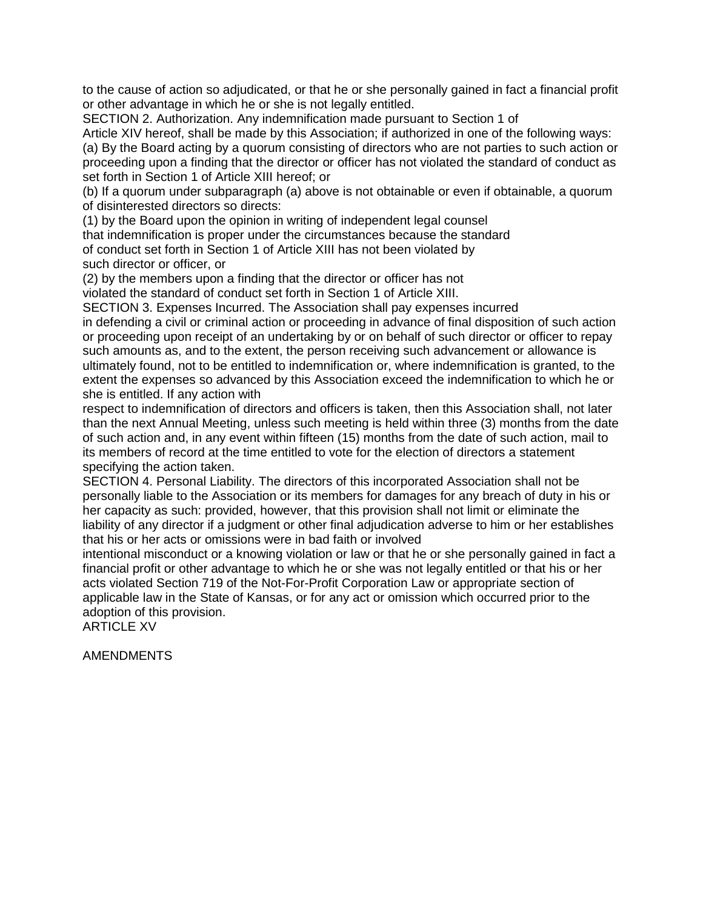to the cause of action so adjudicated, or that he or she personally gained in fact a financial profit or other advantage in which he or she is not legally entitled.

SECTION 2. Authorization. Any indemnification made pursuant to Section 1 of

Article XIV hereof, shall be made by this Association; if authorized in one of the following ways: (a) By the Board acting by a quorum consisting of directors who are not parties to such action or proceeding upon a finding that the director or officer has not violated the standard of conduct as set forth in Section 1 of Article XIII hereof; or

(b) If a quorum under subparagraph (a) above is not obtainable or even if obtainable, a quorum of disinterested directors so directs:

(1) by the Board upon the opinion in writing of independent legal counsel that indemnification is proper under the circumstances because the standard of conduct set forth in Section 1 of Article XIII has not been violated by such director or officer, or

(2) by the members upon a finding that the director or officer has not violated the standard of conduct set forth in Section 1 of Article XIII.

SECTION 3. Expenses Incurred. The Association shall pay expenses incurred in defending a civil or criminal action or proceeding in advance of final disposition of such action or proceeding upon receipt of an undertaking by or on behalf of such director or officer to repay such amounts as, and to the extent, the person receiving such advancement or allowance is ultimately found, not to be entitled to indemnification or, where indemnification is granted, to the extent the expenses so advanced by this Association exceed the indemnification to which he or

she is entitled. If any action with

respect to indemnification of directors and officers is taken, then this Association shall, not later than the next Annual Meeting, unless such meeting is held within three (3) months from the date of such action and, in any event within fifteen (15) months from the date of such action, mail to its members of record at the time entitled to vote for the election of directors a statement specifying the action taken.

SECTION 4. Personal Liability. The directors of this incorporated Association shall not be personally liable to the Association or its members for damages for any breach of duty in his or her capacity as such: provided, however, that this provision shall not limit or eliminate the liability of any director if a judgment or other final adjudication adverse to him or her establishes that his or her acts or omissions were in bad faith or involved

intentional misconduct or a knowing violation or law or that he or she personally gained in fact a financial profit or other advantage to which he or she was not legally entitled or that his or her acts violated Section 719 of the Not-For-Profit Corporation Law or appropriate section of applicable law in the State of Kansas, or for any act or omission which occurred prior to the adoption of this provision.

ARTICLE XV

AMENDMENTS